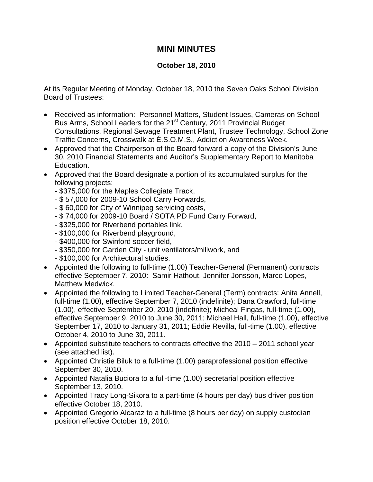## **MINI MINUTES**

### **October 18, 2010**

At its Regular Meeting of Monday, October 18, 2010 the Seven Oaks School Division Board of Trustees:

- Received as information: Personnel Matters, Student Issues, Cameras on School Bus Arms, School Leaders for the 21<sup>st</sup> Century, 2011 Provincial Budget Consultations, Regional Sewage Treatment Plant, Trustee Technology, School Zone Traffic Concerns, Crosswalk at É.S.O.M.S., Addiction Awareness Week.
- Approved that the Chairperson of the Board forward a copy of the Division's June 30, 2010 Financial Statements and Auditor's Supplementary Report to Manitoba Education.
- Approved that the Board designate a portion of its accumulated surplus for the following projects:
	- \$375,000 for the Maples Collegiate Track,
	- \$ 57,000 for 2009-10 School Carry Forwards,
	- \$ 60,000 for City of Winnipeg servicing costs,
	- \$ 74,000 for 2009-10 Board / SOTA PD Fund Carry Forward,
	- \$325,000 for Riverbend portables link,
	- \$100,000 for Riverbend playground,
	- \$400,000 for Swinford soccer field,
	- \$350,000 for Garden City unit ventilators/millwork, and
	- \$100,000 for Architectural studies.
- Appointed the following to full-time (1.00) Teacher-General (Permanent) contracts effective September 7, 2010: Samir Hathout, Jennifer Jonsson, Marco Lopes, Matthew Medwick.
- Appointed the following to Limited Teacher-General (Term) contracts: Anita Annell, full-time (1.00), effective September 7, 2010 (indefinite); Dana Crawford, full-time (1.00), effective September 20, 2010 (indefinite); Micheal Fingas, full-time (1.00), effective September 9, 2010 to June 30, 2011; Michael Hall, full-time (1.00), effective September 17, 2010 to January 31, 2011; Eddie Revilla, full-time (1.00), effective October 4, 2010 to June 30, 2011.
- Appointed substitute teachers to contracts effective the 2010 2011 school year (see attached list).
- Appointed Christie Biluk to a full-time (1.00) paraprofessional position effective September 30, 2010.
- Appointed Natalia Buciora to a full-time (1.00) secretarial position effective September 13, 2010.
- Appointed Tracy Long-Sikora to a part-time (4 hours per day) bus driver position effective October 18, 2010.
- Appointed Gregorio Alcaraz to a full-time (8 hours per day) on supply custodian position effective October 18, 2010.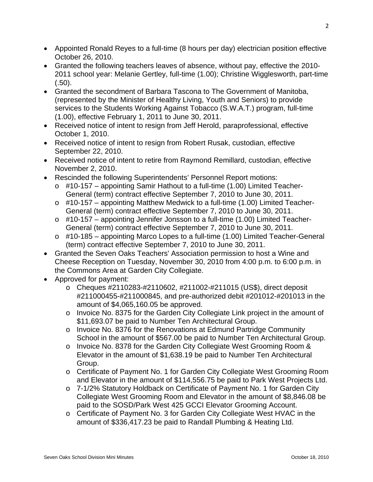- Appointed Ronald Reyes to a full-time (8 hours per day) electrician position effective October 26, 2010.
- Granted the following teachers leaves of absence, without pay, effective the 2010- 2011 school year: Melanie Gertley, full-time (1.00); Christine Wigglesworth, part-time  $(.50)$ .
- Granted the secondment of Barbara Tascona to The Government of Manitoba, (represented by the Minister of Healthy Living, Youth and Seniors) to provide services to the Students Working Against Tobacco (S.W.A.T.) program, full-time (1.00), effective February 1, 2011 to June 30, 2011.
- Received notice of intent to resign from Jeff Herold, paraprofessional, effective October 1, 2010.
- Received notice of intent to resign from Robert Rusak, custodian, effective September 22, 2010.
- Received notice of intent to retire from Raymond Remillard, custodian, effective November 2, 2010.
- Rescinded the following Superintendents' Personnel Report motions:
	- $\circ$  #10-157 appointing Samir Hathout to a full-time (1.00) Limited Teacher-General (term) contract effective September 7, 2010 to June 30, 2011.
	- $\circ$  #10-157 appointing Matthew Medwick to a full-time (1.00) Limited Teacher-General (term) contract effective September 7, 2010 to June 30, 2011.
	- $\circ$  #10-157 appointing Jennifer Jonsson to a full-time (1.00) Limited Teacher-General (term) contract effective September 7, 2010 to June 30, 2011.
	- o #10-185 appointing Marco Lopes to a full-time (1.00) Limited Teacher-General (term) contract effective September 7, 2010 to June 30, 2011.
- Granted the Seven Oaks Teachers' Association permission to host a Wine and Cheese Reception on Tuesday, November 30, 2010 from 4:00 p.m. to 6:00 p.m. in the Commons Area at Garden City Collegiate.
- Approved for payment:
	- o Cheques #2110283-#2110602, #211002-#211015 (US\$), direct deposit #211000455-#211000845, and pre-authorized debit #201012-#201013 in the amount of \$4,065,160.05 be approved.
	- o Invoice No. 8375 for the Garden City Collegiate Link project in the amount of \$11,693.07 be paid to Number Ten Architectural Group.
	- o Invoice No. 8376 for the Renovations at Edmund Partridge Community School in the amount of \$567.00 be paid to Number Ten Architectural Group.
	- o Invoice No. 8378 for the Garden City Collegiate West Grooming Room & Elevator in the amount of \$1,638.19 be paid to Number Ten Architectural Group.
	- o Certificate of Payment No. 1 for Garden City Collegiate West Grooming Room and Elevator in the amount of \$114,556.75 be paid to Park West Projects Ltd.
	- o 7-1/2% Statutory Holdback on Certificate of Payment No. 1 for Garden City Collegiate West Grooming Room and Elevator in the amount of \$8,846.08 be paid to the SOSD/Park West 425 GCCI Elevator Grooming Account.
	- o Certificate of Payment No. 3 for Garden City Collegiate West HVAC in the amount of \$336,417.23 be paid to Randall Plumbing & Heating Ltd.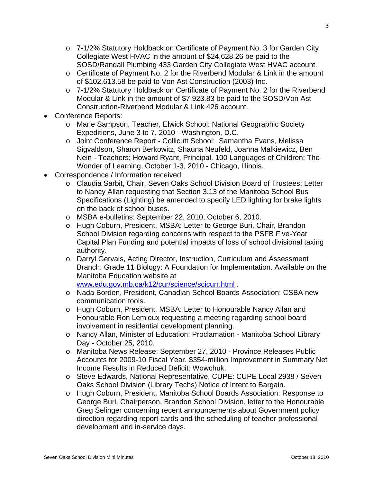- o 7-1/2% Statutory Holdback on Certificate of Payment No. 3 for Garden City Collegiate West HVAC in the amount of \$24,628.26 be paid to the SOSD/Randall Plumbing 433 Garden City Collegiate West HVAC account.
- o Certificate of Payment No. 2 for the Riverbend Modular & Link in the amount of \$102,613.58 be paid to Von Ast Construction (2003) Inc.
- o 7-1/2% Statutory Holdback on Certificate of Payment No. 2 for the Riverbend Modular & Link in the amount of \$7,923.83 be paid to the SOSD/Von Ast Construction-Riverbend Modular & Link 426 account.
- Conference Reports:
	- o Marie Sampson, Teacher, Elwick School: National Geographic Society Expeditions, June 3 to 7, 2010 - Washington, D.C.
	- o Joint Conference Report Collicutt School: Samantha Evans, Melissa Sigvaldson, Sharon Berkowitz, Shauna Neufeld, Joanna Malkiewicz, Ben Nein - Teachers; Howard Ryant, Principal. 100 Languages of Children: The Wonder of Learning, October 1-3, 2010 - Chicago, Illinois.
- Correspondence / Information received:
	- o Claudia Sarbit, Chair, Seven Oaks School Division Board of Trustees: Letter to Nancy Allan requesting that Section 3.13 of the Manitoba School Bus Specifications (Lighting) be amended to specify LED lighting for brake lights on the back of school buses.
	- o MSBA e-bulletins: September 22, 2010, October 6, 2010.
	- o Hugh Coburn, President, MSBA: Letter to George Buri, Chair, Brandon School Division regarding concerns with respect to the PSFB Five-Year Capital Plan Funding and potential impacts of loss of school divisional taxing authority.
	- o Darryl Gervais, Acting Director, Instruction, Curriculum and Assessment Branch: Grade 11 Biology: A Foundation for Implementation. Available on the Manitoba Education website at [www.edu.gov.mb.ca/k12/cur/science/scicurr.html](http://www.edu.gov.mb.ca/k12/cur/science/scicurr.html) .
	- o Nada Borden, President, Canadian School Boards Association: CSBA new communication tools.
	- o Hugh Coburn, President, MSBA: Letter to Honourable Nancy Allan and Honourable Ron Lemieux requesting a meeting regarding school board involvement in residential development planning.
	- o Nancy Allan, Minister of Education: Proclamation Manitoba School Library Day - October 25, 2010.
	- o Manitoba News Release: September 27, 2010 Province Releases Public Accounts for 2009-10 Fiscal Year. \$354-million Improvement in Summary Net Income Results in Reduced Deficit: Wowchuk.
	- o Steve Edwards, National Representative, CUPE: CUPE Local 2938 / Seven Oaks School Division (Library Techs) Notice of Intent to Bargain.
	- o Hugh Coburn, President, Manitoba School Boards Association: Response to George Buri, Chairperson, Brandon School Division, letter to the Honourable Greg Selinger concerning recent announcements about Government policy direction regarding report cards and the scheduling of teacher professional development and in-service days.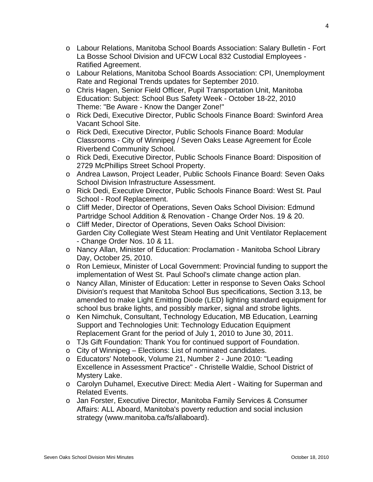- o Labour Relations, Manitoba School Boards Association: Salary Bulletin Fort La Bosse School Division and UFCW Local 832 Custodial Employees - Ratified Agreement.
- o Labour Relations, Manitoba School Boards Association: CPI, Unemployment Rate and Regional Trends updates for September 2010.
- o Chris Hagen, Senior Field Officer, Pupil Transportation Unit, Manitoba Education: Subject: School Bus Safety Week - October 18-22, 2010 Theme: "Be Aware - Know the Danger Zone!"
- o Rick Dedi, Executive Director, Public Schools Finance Board: Swinford Area Vacant School Site.
- o Rick Dedi, Executive Director, Public Schools Finance Board: Modular Classrooms - City of Winnipeg / Seven Oaks Lease Agreement for École Riverbend Community School.
- o Rick Dedi, Executive Director, Public Schools Finance Board: Disposition of 2729 McPhillips Street School Property.
- o Andrea Lawson, Project Leader, Public Schools Finance Board: Seven Oaks School Division Infrastructure Assessment.
- o Rick Dedi, Executive Director, Public Schools Finance Board: West St. Paul School - Roof Replacement.
- o Cliff Meder, Director of Operations, Seven Oaks School Division: Edmund Partridge School Addition & Renovation - Change Order Nos. 19 & 20.
- o Cliff Meder, Director of Operations, Seven Oaks School Division: Garden City Collegiate West Steam Heating and Unit Ventilator Replacement - Change Order Nos. 10 & 11.
- o Nancy Allan, Minister of Education: Proclamation Manitoba School Library Day, October 25, 2010.
- o [Ron Lemieux, Minister of Local Government](http://secure.7oaks.org/users/admin/itemDetails.cfm?agendaItemID=17331): Provincial funding to support the implementation of West St. Paul School's climate change action plan.
- o Nancy Allan, Minister of Education: Letter in response to Seven Oaks School Division's request that Manitoba School Bus specifications, Section 3.13, be amended to make Light Emitting Diode (LED) lighting standard equipment for school bus brake lights, and possibly marker, signal and strobe lights.
- o Ken Nimchuk, Consultant, Technology Education, MB Education, Learning Support and Technologies Unit: Technology Education Equipment Replacement Grant for the period of July 1, 2010 to June 30, 2011.
- o TJs Gift Foundation: Thank You for continued support of Foundation.
- $\circ$  City of Winnipeg Elections: List of nominated candidates.
- o Educators' Notebook, Volume 21, Number 2 June 2010: "Leading Excellence in Assessment Practice" - Christelle Waldie, School District of Mystery Lake.
- o Carolyn Duhamel, Executive Direct: Media Alert Waiting for Superman and Related Events.
- o Jan Forster, Executive Director, Manitoba Family Services & Consumer Affairs: ALL Aboard, Manitoba's poverty reduction and social inclusion strategy (www.manitoba.ca/fs/allaboard).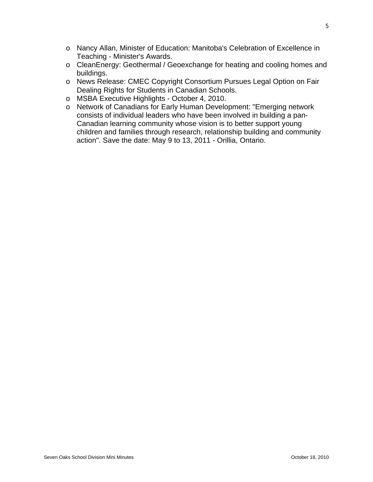- o Nancy Allan, Minister of Education: Manitoba's Celebration of Excellence in Teaching - Minister's Awards.
- o CleanEnergy: Geothermal / Geoexchange for heating and cooling homes and buildings.
- o News Release: CMEC Copyright Consortium Pursues Legal Option on Fair Dealing Rights for Students in Canadian Schools.
- o MSBA Executive Highlights October 4, 2010.
- o Network of Canadians for Early Human Development: "Emerging network consists of individual leaders who have been involved in building a pan-Canadian learning community whose vision is to better support young children and families through research, relationship building and community action". Save the date: May 9 to 13, 2011 - Orillia, Ontario.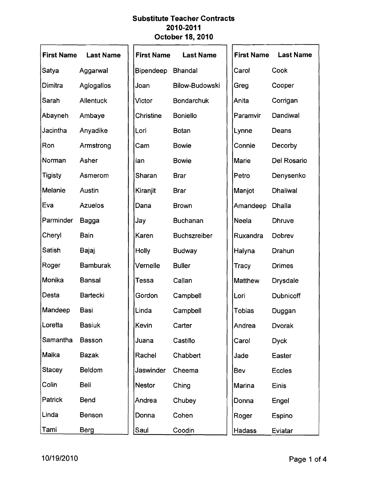| <b>First Name</b> | <b>Last Name</b> | <b>First Name</b> | <b>Last Name</b>      | <b>First Name</b> | <b>Last Name</b> |
|-------------------|------------------|-------------------|-----------------------|-------------------|------------------|
| Satya             | Aggarwal         | Bipendeep         | <b>Bhandal</b>        | Carol             | Cook             |
| Dimitra           | Aglogallos       | Joan              | <b>Bilow-Budowski</b> | Greg              | Cooper           |
| Sarah             | <b>Allentuck</b> | Victor            | Bondarchuk            | Anita             | Corrigan         |
| Abayneh           | Ambaye           | Christine         | <b>Boniello</b>       | Paramvir          | Dandiwal         |
| Jacintha          | Anyadike         | Lori              | <b>Botan</b>          | Lynne             | Deans            |
| Ron               | Armstrong        | Cam               | <b>Bowie</b>          | Connie            | Decorby          |
| Norman            | Asher            | lan               | <b>Bowie</b>          | Marie             | Del Rosario      |
| <b>Tigisty</b>    | Asmerom          | Sharan            | <b>Brar</b>           | Petro             | Denysenko        |
| <b>Melanie</b>    | Austin           | Kiranjit          | <b>Brar</b>           | Manjot            | <b>Dhaliwal</b>  |
| Eva               | Azuelos          | Dana              | <b>Brown</b>          | Amandeep          | Dhalla           |
| Parminder         | <b>Bagga</b>     | Jay               | <b>Buchanan</b>       | Neela             | <b>Dhruve</b>    |
| Cheryl            | Bain             | Karen             | <b>Buchszreiber</b>   | Ruxandra          | Dobrev           |
| Satish            | Bajaj            | Holly             | <b>Budway</b>         | Halyna            | Drahun           |
| Roger             | <b>Bamburak</b>  | Vernelle          | <b>Buller</b>         | <b>Tracy</b>      | <b>Drimes</b>    |
| Monika            | <b>Bansal</b>    | <b>Tessa</b>      | Callan                | <b>Matthew</b>    | <b>Drysdale</b>  |
| Desta             | <b>Bartecki</b>  | Gordon            | Campbell              | Lori              | <b>Dubnicoff</b> |
| Mandeep           | Basi             | Linda             | Campbell              | <b>Tobias</b>     | Duggan           |
| Loretta           | <b>Basiuk</b>    | Kevin             | Carter                | Andrea            | <b>Dvorak</b>    |
| Samantha          | Basson           | Juana             | Castillo              | Carol             | <b>Dyck</b>      |
| Malka             | <b>Bazak</b>     | Rachel            | Chabbert              | Jade              | Easter           |
| Stacey            | Beldom           | Jaswinder         | Cheema                | Bev               | <b>Eccles</b>    |
| Colin             | <b>Bell</b>      | <b>Nestor</b>     | Ching                 | Marina            | Einis            |
| <b>Patrick</b>    | Bend             | Andrea            | Chubey                | Donna             | Engel            |
| Linda             | <b>Benson</b>    | Donna             | Cohen                 | Roger             | Espino           |
| Tami              | <b>Berg</b>      | Saul              | Coodin                | Hadass            | Eviatar          |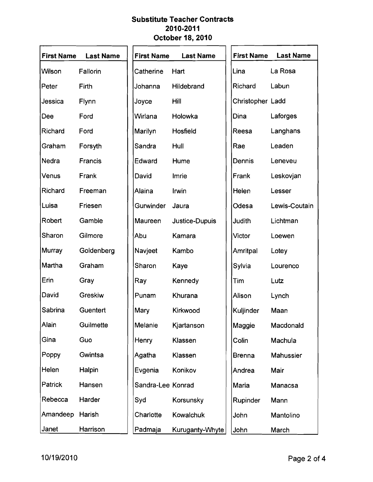| <b>First Name</b> | <b>Last Name</b> | <b>First Name</b> | <b>Last Name</b> | <b>First Name</b> | <b>Last Name</b> |
|-------------------|------------------|-------------------|------------------|-------------------|------------------|
| Wilson            | Fallorin         | Catherine         | Hart             | Lina              | La Rosa          |
| Peter             | Firth            | Johanna           | Hildebrand       | Richard           | Labun            |
| Jessica           | Flynn            | Joyce             | Hill             | Christopher Ladd  |                  |
| Dee               | Ford             | Wirlana           | Holowka          | Dina              | Laforges         |
| Richard           | Ford             | Marilyn           | Hosfield         | Reesa             | Langhans         |
| Graham            | Forsyth          | Sandra            | Hull             | Rae               | Leaden           |
| Nedra             | Francis          | Edward            | Hume             | Dennis            | Leneveu          |
| Venus             | Frank            | David             | Imrie            | Frank             | Leskovjan        |
| Richard           | Freeman          | Alaina            | Irwin            | Helen             | Lesser           |
| Luisa             | Friesen          | Gurwinder         | Jaura            | Odesa             | Lewis-Coutain    |
| Robert            | Gamble           | Maureen           | Justice-Dupuis   | Judith            | Lichtman         |
| Sharon            | Gilmore          | Abu               | Kamara           | Victor            | Loewen           |
| Murray            | Goldenberg       | Navjeet           | Kambo            | Amritpal          | Lotey            |
| Martha            | Graham           | Sharon            | Kaye             | Sylvia            | Lourenco         |
| Erin              | Gray             | Ray               | Kennedy          | Tim               | Lutz             |
| David             | Greskiw          | Punam             | Khurana          | Alison            | Lynch            |
| Sabrina           | Guentert         | Mary              | Kirkwood         | Kuljinder         | Maan             |
| Alain             | Guilmette        | Melanie           | Kjartanson       | Maggie            | Macdonald        |
| Gina              | Guo              | Henry             | Klassen          | Colin             | Machula          |
| Poppy             | Gwintsa          | Agatha            | Klassen          | <b>Brenna</b>     | Mahussier        |
| Helen             | Halpin           | Evgenia           | Konikov          | Andrea            | Mair             |
| Patrick           | Hansen           | Sandra-Lee Konrad |                  | Maria             | Manacsa          |
| Rebecca           | Harder           | Syd               | Korsunsky        | Rupinder          | Mann             |
| Amandeep          | Harish           | Charlotte         | Kowalchuk        | John              | Mantolino        |
| Janet             | Harrison         | Padmaja           | Kuruganty-Whyte  | John              | March            |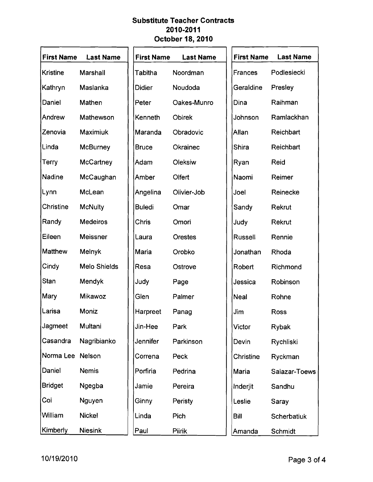$\mathbf{r}$ 

| <b>First Name</b> | <b>Last Name</b> | <b>First Name</b> | <b>Last Name</b> | <b>First Name</b> | <b>Last Name</b> |
|-------------------|------------------|-------------------|------------------|-------------------|------------------|
| <b>Kristine</b>   | <b>Marshall</b>  | Tabitha           | Noordman         | Frances           | Podlesiecki      |
| Kathryn           | Maslanka         | <b>Didier</b>     | Noudoda          | Geraldine         | Presley          |
| Daniel            | Mathen           | Peter             | Oakes-Munro      | Dina              | Raihman          |
| Andrew            | Mathewson        | Kenneth           | Obirek           | Johnson           | Ramlackhan       |
| Zenovia           | Maximiuk         | Maranda           | Obradovic        | Allan             | Reichbart        |
| Linda             | <b>McBurney</b>  | <b>Bruce</b>      | Okrainec         | Shira             | Reichbart        |
| Terry             | <b>McCartney</b> | Adam              | Oleksiw          | Ryan              | Reid             |
| Nadine            | McCaughan        | Amber             | Olfert           | Naomi             | Reimer           |
| Lynn              | McLean           | Angelina          | Olivier-Job      | Joel              | Reinecke         |
| Christine         | <b>McNulty</b>   | <b>Buledi</b>     | Omar             | Sandy             | Rekrut           |
| Randy             | <b>Medeiros</b>  | Chris             | Omori            | Judy              | Rekrut           |
| Eileen            | <b>Meissner</b>  | Laura             | <b>Orestes</b>   | Russell           | Rennie           |
| Matthew           | Melnyk           | Maria             | Orobko           | Jonathan          | Rhoda            |
| Cindy             | Melo Shields     | Resa              | Ostrove          | Robert            | Richmond         |
| Stan              | Mendyk           | Judy              | Page             | Jessica           | Robinson         |
| Mary              | Mikawoz          | Glen              | Palmer           | Neal              | Rohne            |
| Larisa            | Moniz            | Harpreet          | Panag            | Jim               | <b>Ross</b>      |
| Jagmeet           | Multani          | Jin-Hee           | Park             | Victor            | Rybak            |
| Casandra          | Nagribianko      | Jennifer          | Parkinson        | Devin             | Rychliski        |
| Norma Lee         | Nelson           | Correna           | Peck             | Christine         | Ryckman          |
| Daniel            | <b>Nemis</b>     | Porfiria          | Pedrina          | Maria             | Salazar-Toews    |
| <b>Bridget</b>    | Ngegba           | Jamie             | Pereira          | Inderjit          | Sandhu           |
| Coi               | Nguyen           | Ginny             | Peristy          | Leslie            | Saray            |
| William           | <b>Nickel</b>    | Linda             | Pich             | <b>Bill</b>       | Scherbatiuk      |
| Kimberly          | <b>Niesink</b>   | Paul              | <b>Piirik</b>    | Amanda            | Schmidt          |